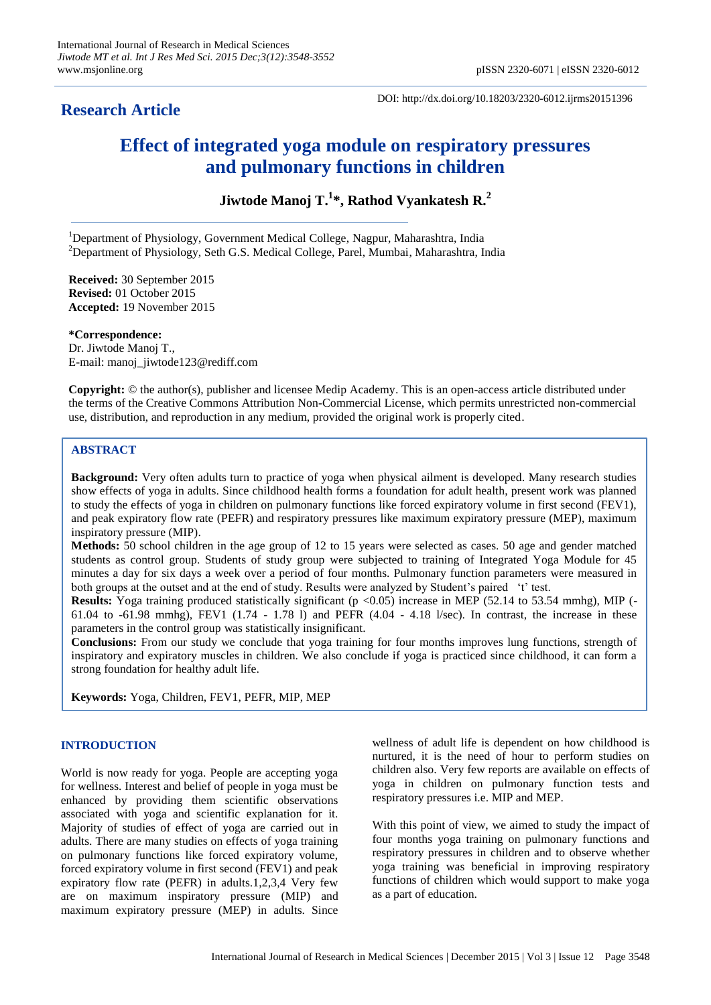## **Research Article**

DOI: http://dx.doi.org/10.18203/2320-6012.ijrms20151396

# **Effect of integrated yoga module on respiratory pressures and pulmonary functions in children**

**Jiwtode Manoj T. 1 \*, Rathod Vyankatesh R. 2**

<sup>1</sup>Department of Physiology, Government Medical College, Nagpur, Maharashtra, India <sup>2</sup>Department of Physiology, Seth G.S. Medical College, Parel, Mumbai, Maharashtra, India

**Received:** 30 September 2015 **Revised:** 01 October 2015 **Accepted:** 19 November 2015

**\*Correspondence:** Dr. Jiwtode Manoj T., E-mail: manoj\_jiwtode123@rediff.com

**Copyright:** © the author(s), publisher and licensee Medip Academy. This is an open-access article distributed under the terms of the Creative Commons Attribution Non-Commercial License, which permits unrestricted non-commercial use, distribution, and reproduction in any medium, provided the original work is properly cited.

## **ABSTRACT**

**Background:** Very often adults turn to practice of yoga when physical ailment is developed. Many research studies show effects of yoga in adults. Since childhood health forms a foundation for adult health, present work was planned to study the effects of yoga in children on pulmonary functions like forced expiratory volume in first second (FEV1), and peak expiratory flow rate (PEFR) and respiratory pressures like maximum expiratory pressure (MEP), maximum inspiratory pressure (MIP).

**Methods:** 50 school children in the age group of 12 to 15 years were selected as cases. 50 age and gender matched students as control group. Students of study group were subjected to training of Integrated Yoga Module for 45 minutes a day for six days a week over a period of four months. Pulmonary function parameters were measured in both groups at the outset and at the end of study. Results were analyzed by Student's paired 't' test.

**Results:** Yoga training produced statistically significant (p <0.05) increase in MEP (52.14 to 53.54 mmhg), MIP (-61.04 to  $-61.98$  mmhg), FEV1 (1.74  $-1.78$  l) and PEFR (4.04  $-4.18$  l/sec). In contrast, the increase in these parameters in the control group was statistically insignificant.

**Conclusions:** From our study we conclude that yoga training for four months improves lung functions, strength of inspiratory and expiratory muscles in children. We also conclude if yoga is practiced since childhood, it can form a strong foundation for healthy adult life.

**Keywords:** Yoga, Children, FEV1, PEFR, MIP, MEP

## **INTRODUCTION**

World is now ready for yoga. People are accepting yoga for wellness. Interest and belief of people in yoga must be enhanced by providing them scientific observations associated with yoga and scientific explanation for it. Majority of studies of effect of yoga are carried out in adults. There are many studies on effects of yoga training on pulmonary functions like forced expiratory volume, forced expiratory volume in first second (FEV1) and peak expiratory flow rate (PEFR) in adults.1,2,3,4 Very few are on maximum inspiratory pressure (MIP) and maximum expiratory pressure (MEP) in adults. Since wellness of adult life is dependent on how childhood is nurtured, it is the need of hour to perform studies on children also. Very few reports are available on effects of yoga in children on pulmonary function tests and respiratory pressures i.e. MIP and MEP.

With this point of view, we aimed to study the impact of four months yoga training on pulmonary functions and respiratory pressures in children and to observe whether yoga training was beneficial in improving respiratory functions of children which would support to make yoga as a part of education.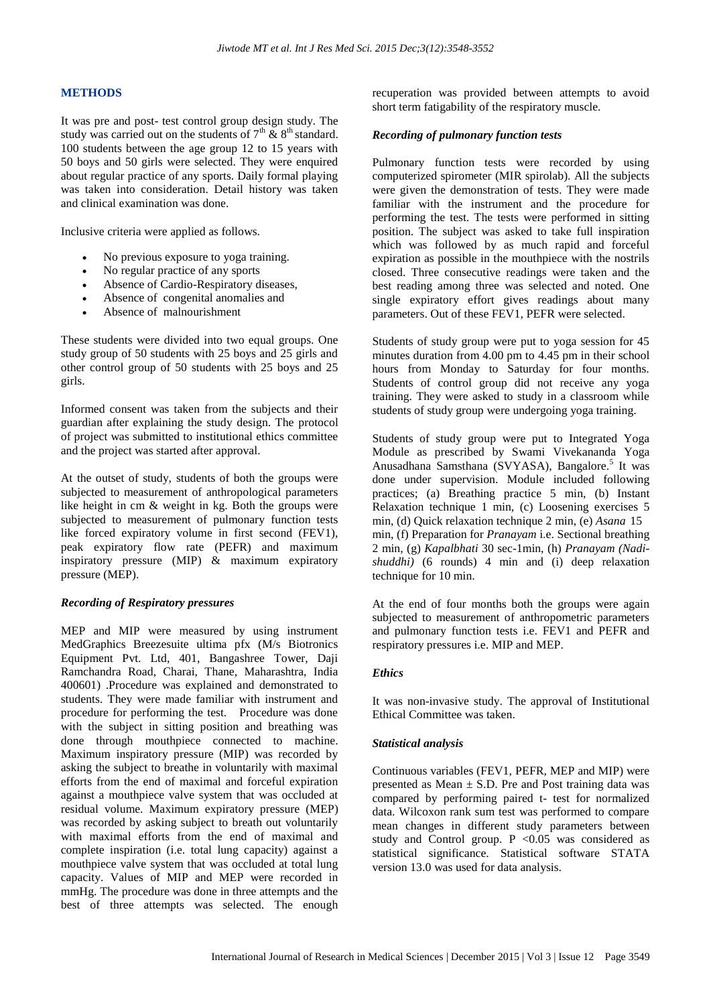## **METHODS**

It was pre and post- test control group design study. The study was carried out on the students of  $7<sup>th</sup>$  &  $8<sup>th</sup>$  standard. 100 students between the age group 12 to 15 years with 50 boys and 50 girls were selected. They were enquired about regular practice of any sports. Daily formal playing was taken into consideration. Detail history was taken and clinical examination was done.

Inclusive criteria were applied as follows.

- No previous exposure to yoga training.
- No regular practice of any sports
- Absence of Cardio-Respiratory diseases,
- Absence of congenital anomalies and
- Absence of malnourishment

These students were divided into two equal groups. One study group of 50 students with 25 boys and 25 girls and other control group of 50 students with 25 boys and 25 girls.

Informed consent was taken from the subjects and their guardian after explaining the study design. The protocol of project was submitted to institutional ethics committee and the project was started after approval.

At the outset of study, students of both the groups were subjected to measurement of anthropological parameters like height in cm & weight in kg. Both the groups were subjected to measurement of pulmonary function tests like forced expiratory volume in first second (FEV1), peak expiratory flow rate (PEFR) and maximum inspiratory pressure (MIP) & maximum expiratory pressure (MEP).

## *Recording of Respiratory pressures*

MEP and MIP were measured by using instrument MedGraphics Breezesuite ultima pfx (M/s Biotronics Equipment Pvt. Ltd, 401, Bangashree Tower, Daji Ramchandra Road, Charai, Thane, Maharashtra, India 400601) .Procedure was explained and demonstrated to students. They were made familiar with instrument and procedure for performing the test. Procedure was done with the subject in sitting position and breathing was done through mouthpiece connected to machine. Maximum inspiratory pressure (MIP) was recorded by asking the subject to breathe in voluntarily with maximal efforts from the end of maximal and forceful expiration against a mouthpiece valve system that was occluded at residual volume. Maximum expiratory pressure (MEP) was recorded by asking subject to breath out voluntarily with maximal efforts from the end of maximal and complete inspiration (i.e. total lung capacity) against a mouthpiece valve system that was occluded at total lung capacity. Values of MIP and MEP were recorded in mmHg. The procedure was done in three attempts and the best of three attempts was selected. The enough recuperation was provided between attempts to avoid short term fatigability of the respiratory muscle.

#### *Recording of pulmonary function tests*

Pulmonary function tests were recorded by using computerized spirometer (MIR spirolab). All the subjects were given the demonstration of tests. They were made familiar with the instrument and the procedure for performing the test. The tests were performed in sitting position. The subject was asked to take full inspiration which was followed by as much rapid and forceful expiration as possible in the mouthpiece with the nostrils closed. Three consecutive readings were taken and the best reading among three was selected and noted. One single expiratory effort gives readings about many parameters. Out of these FEV1, PEFR were selected.

Students of study group were put to yoga session for 45 minutes duration from 4.00 pm to 4.45 pm in their school hours from Monday to Saturday for four months. Students of control group did not receive any yoga training. They were asked to study in a classroom while students of study group were undergoing yoga training.

Students of study group were put to Integrated Yoga Module as prescribed by Swami Vivekananda Yoga Anusadhana Samsthana (SVYASA), Bangalore.<sup>5</sup> It was done under supervision. Module included following practices; (a) Breathing practice 5 min, (b) Instant Relaxation technique 1 min, (c) Loosening exercises 5 min, (d) Quick relaxation technique 2 min, (e) *Asana* 15 min, (f) Preparation for *Pranayam* i.e. Sectional breathing 2 min, (g) *Kapalbhati* 30 sec-1min, (h) *Pranayam (Nadishuddhi)* (6 rounds) 4 min and (i) deep relaxation technique for 10 min.

At the end of four months both the groups were again subjected to measurement of anthropometric parameters and pulmonary function tests i.e. FEV1 and PEFR and respiratory pressures i.e. MIP and MEP.

## *Ethics*

It was non-invasive study. The approval of Institutional Ethical Committee was taken.

#### *Statistical analysis*

Continuous variables (FEV1, PEFR, MEP and MIP) were presented as Mean  $\pm$  S.D. Pre and Post training data was compared by performing paired t- test for normalized data. Wilcoxon rank sum test was performed to compare mean changes in different study parameters between study and Control group.  $P \leq 0.05$  was considered as statistical significance. Statistical software STATA version 13.0 was used for data analysis.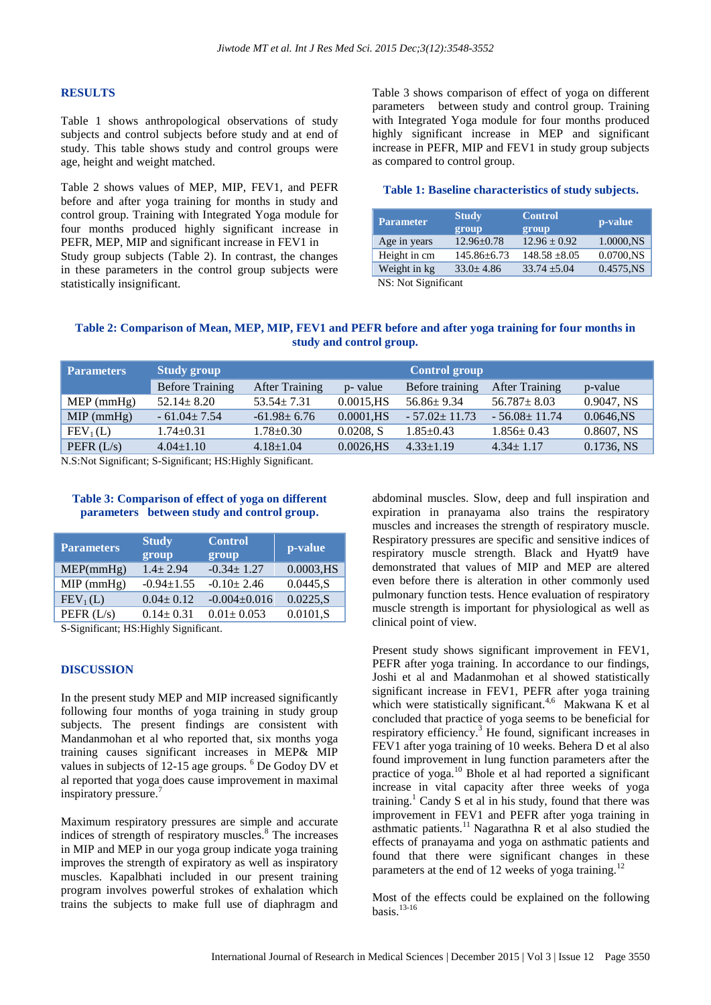#### **RESULTS**

Table 1 shows anthropological observations of study subjects and control subjects before study and at end of study. This table shows study and control groups were age, height and weight matched.

Table 2 shows values of MEP, MIP, FEV1, and PEFR before and after yoga training for months in study and control group. Training with Integrated Yoga module for four months produced highly significant increase in PEFR, MEP, MIP and significant increase in FEV1 in Study group subjects (Table 2). In contrast, the changes in these parameters in the control group subjects were statistically insignificant.

Table 3 shows comparison of effect of yoga on different parameters between study and control group. Training with Integrated Yoga module for four months produced highly significant increase in MEP and significant increase in PEFR, MIP and FEV1 in study group subjects as compared to control group.

#### **Table 1: Baseline characteristics of study subjects.**

| <b>Parameter</b>                                                                                                            | <b>Study</b><br>group | <b>Control</b><br>group | p-value   |
|-----------------------------------------------------------------------------------------------------------------------------|-----------------------|-------------------------|-----------|
| Age in years                                                                                                                | $12.96 \pm 0.78$      | $12.96 \pm 0.92$        | 1.0000.NS |
| Height in cm                                                                                                                | $145.86 \pm 6.73$     | $148.58 \pm 8.05$       | 0.0700,NS |
| Weight in kg                                                                                                                | $33.0 + 4.86$         | $33.74 + 5.04$          | 0.4575,NS |
| $\overline{\text{MC}}$ , $\overline{\text{M}}$ of $\overline{\text{C}}$ and $\overline{\text{C}}$ and $\overline{\text{C}}$ |                       |                         |           |

NS: Not Significant

## **Table 2: Comparison of Mean, MEP, MIP, FEV1 and PEFR before and after yoga training for four months in study and control group.**

| <b>Parameters</b>    | <b>Study group</b>     | <b>Control group</b>  |               |                    |                       |               |
|----------------------|------------------------|-----------------------|---------------|--------------------|-----------------------|---------------|
|                      | <b>Before Training</b> | <b>After Training</b> | p- value      | Before training    | <b>After Training</b> | p-value       |
| $MEP$ (mmHg)         | $52.14 \pm 8.20$       | $53.54 \pm 7.31$      | $0.0015$ , HS | $56.86 \pm 9.34$   | $56.787 + 8.03$       | 0.9047, NS    |
| $MIP$ (mmHg)         | $-61.04 \pm 7.54$      | $-61.98 \pm 6.76$     | $0.0001$ , HS | $-57.02 \pm 11.73$ | $-56.08 \pm 11.74$    | 0.0646.NS     |
| FEV <sub>1</sub> (L) | $1.74 \pm 0.31$        | 1.78±0.30             | 0.0208, S     | $1.85 \pm 0.43$    | $1.856 \pm 0.43$      | $0.8607$ , NS |
| PEFR $(L/s)$         | $4.04 \pm 1.10$        | $4.18 \pm 1.04$       | $0.0026$ , HS | $4.33 \pm 1.19$    | $4.34 \pm 1.17$       | $0.1736$ , NS |

N.S:Not Significant; S-Significant; HS:Highly Significant.

#### **Table 3: Comparison of effect of yoga on different parameters between study and control group.**

| Parameters           | <b>Study</b><br>group | <b>Control</b><br>group | p-value      |
|----------------------|-----------------------|-------------------------|--------------|
| MEP(mmHg)            | $1.4 \pm 2.94$        | $-0.34 \pm 1.27$        | $0.0003,$ HS |
| $MIP$ (mmHg)         | $-0.94 \pm 1.55$      | $-0.10 \pm 2.46$        | 0.0445.S     |
| FEV <sub>1</sub> (L) | $0.04 \pm 0.12$       | $-0.004 \pm 0.016$      | 0.0225, S    |
| PEFR $(L/s)$         | $0.14 \pm 0.31$       | $0.01 \pm 0.053$        | 0.0101, S    |

S-Significant; HS:Highly Significant.

#### **DISCUSSION**

In the present study MEP and MIP increased significantly following four months of yoga training in study group subjects. The present findings are consistent with Mandanmohan et al who reported that, six months yoga training causes significant increases in MEP& MIP values in subjects of 12-15 age groups. <sup>6</sup> De Godoy DV et al reported that yoga does cause improvement in maximal inspiratory pressure.

Maximum respiratory pressures are simple and accurate indices of strength of respiratory muscles.<sup>8</sup> The increases in MIP and MEP in our yoga group indicate yoga training improves the strength of expiratory as well as inspiratory muscles. Kapalbhati included in our present training program involves powerful strokes of exhalation which trains the subjects to make full use of diaphragm and

abdominal muscles. Slow, deep and full inspiration and expiration in pranayama also trains the respiratory muscles and increases the strength of respiratory muscle. Respiratory pressures are specific and sensitive indices of respiratory muscle strength. Black and Hyatt9 have demonstrated that values of MIP and MEP are altered even before there is alteration in other commonly used pulmonary function tests. Hence evaluation of respiratory muscle strength is important for physiological as well as clinical point of view.

Present study shows significant improvement in FEV1, PEFR after yoga training. In accordance to our findings, Joshi et al and Madanmohan et al showed statistically significant increase in FEV1, PEFR after yoga training which were statistically significant.<sup>4,6</sup> Makwana K et al concluded that practice of yoga seems to be beneficial for respiratory efficiency.<sup>3</sup> He found, significant increases in FEV1 after yoga training of 10 weeks. Behera D et al also found improvement in lung function parameters after the practice of yoga.<sup>10</sup> Bhole et al had reported a significant increase in vital capacity after three weeks of yoga training.<sup>1</sup> Candy S et al in his study, found that there was improvement in FEV1 and PEFR after yoga training in asthmatic patients.<sup>11</sup> Nagarathna R et al also studied the effects of pranayama and yoga on asthmatic patients and found that there were significant changes in these parameters at the end of 12 weeks of yoga training.<sup>12</sup>

Most of the effects could be explained on the following basis. $13-16$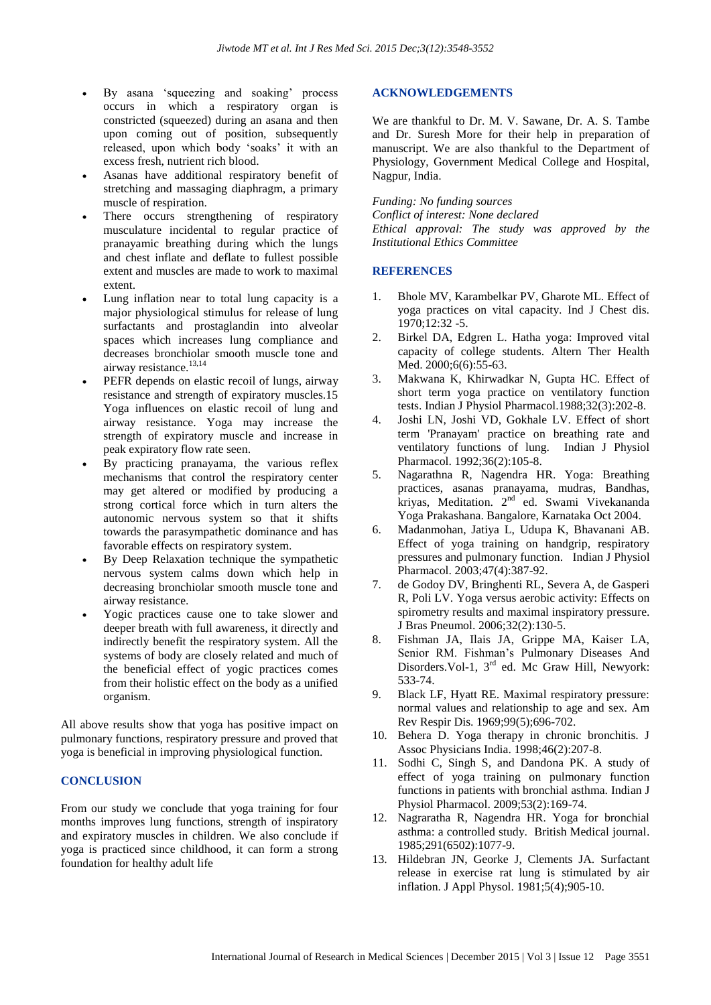- By asana 'squeezing and soaking' process occurs in which a respiratory organ is constricted (squeezed) during an asana and then upon coming out of position, subsequently released, upon which body 'soaks' it with an excess fresh, nutrient rich blood.
- Asanas have additional respiratory benefit of stretching and massaging diaphragm, a primary muscle of respiration.
- There occurs strengthening of respiratory musculature incidental to regular practice of pranayamic breathing during which the lungs and chest inflate and deflate to fullest possible extent and muscles are made to work to maximal extent.
- Lung inflation near to total lung capacity is a major physiological stimulus for release of lung surfactants and prostaglandin into alveolar spaces which increases lung compliance and decreases bronchiolar smooth muscle tone and airway resistance.<sup>13,14</sup>
- PEFR depends on elastic recoil of lungs, airway resistance and strength of expiratory muscles.15 Yoga influences on elastic recoil of lung and airway resistance. Yoga may increase the strength of expiratory muscle and increase in peak expiratory flow rate seen.
- By practicing pranayama, the various reflex mechanisms that control the respiratory center may get altered or modified by producing a strong cortical force which in turn alters the autonomic nervous system so that it shifts towards the parasympathetic dominance and has favorable effects on respiratory system.
- By Deep Relaxation technique the sympathetic nervous system calms down which help in decreasing bronchiolar smooth muscle tone and airway resistance.
- Yogic practices cause one to take slower and deeper breath with full awareness, it directly and indirectly benefit the respiratory system. All the systems of body are closely related and much of the beneficial effect of yogic practices comes from their holistic effect on the body as a unified organism.

All above results show that yoga has positive impact on pulmonary functions, respiratory pressure and proved that yoga is beneficial in improving physiological function.

### **CONCLUSION**

From our study we conclude that yoga training for four months improves lung functions, strength of inspiratory and expiratory muscles in children. We also conclude if yoga is practiced since childhood, it can form a strong foundation for healthy adult life

#### **ACKNOWLEDGEMENTS**

We are thankful to Dr. M. V. Sawane, Dr. A. S. Tambe and Dr. Suresh More for their help in preparation of manuscript. We are also thankful to the Department of Physiology, Government Medical College and Hospital, Nagpur, India.

*Funding: No funding sources Conflict of interest: None declared Ethical approval: The study was approved by the Institutional Ethics Committee*

#### **REFERENCES**

- 1. Bhole MV, Karambelkar PV, Gharote ML. Effect of yoga practices on vital capacity. Ind J Chest dis. 1970;12:32 -5.
- 2. Birkel DA, Edgren L. Hatha yoga: Improved vital capacity of college students. Altern Ther Health Med. 2000;6(6):55-63.
- 3. Makwana K, Khirwadkar N, Gupta HC. Effect of short term yoga practice on ventilatory function tests. Indian J Physiol Pharmacol.1988;32(3):202-8.
- 4. Joshi LN, Joshi VD, Gokhale LV. Effect of short term 'Pranayam' practice on breathing rate and ventilatory functions of lung. Indian J Physiol Pharmacol. 1992;36(2):105-8.
- 5. Nagarathna R, Nagendra HR. Yoga: Breathing practices, asanas pranayama, mudras, Bandhas, kriyas, Meditation. 2<sup>nd</sup> ed. Swami Vivekananda Yoga Prakashana. Bangalore, Karnataka Oct 2004.
- 6. Madanmohan, Jatiya L, Udupa K, Bhavanani AB. Effect of yoga training on handgrip, respiratory pressures and pulmonary function. Indian J Physiol Pharmacol. 2003;47(4):387-92.
- 7. de Godoy DV, Bringhenti RL, Severa A, de Gasperi R, Poli LV. Yoga versus aerobic activity: Effects on spirometry results and maximal inspiratory pressure. J Bras Pneumol. 2006;32(2):130-5.
- 8. Fishman JA, Ilais JA, Grippe MA, Kaiser LA, Senior RM. Fishman's Pulmonary Diseases And Disorders. Vol-1, 3<sup>rd</sup> ed. Mc Graw Hill, Newyork: 533-74.
- 9. Black LF, Hyatt RE. Maximal respiratory pressure: normal values and relationship to age and sex. Am Rev Respir Dis. 1969;99(5);696-702.
- 10. Behera D. Yoga therapy in chronic bronchitis. J Assoc Physicians India. 1998;46(2):207-8.
- 11. Sodhi C, Singh S, and Dandona PK. A study of effect of yoga training on pulmonary function functions in patients with bronchial asthma. Indian J Physiol Pharmacol. 2009;53(2):169-74.
- 12. Nagraratha R, Nagendra HR. Yoga for bronchial asthma: a controlled study. British Medical journal. 1985;291(6502):1077-9.
- 13. Hildebran JN, Georke J, Clements JA. Surfactant release in exercise rat lung is stimulated by air inflation. J Appl Physol. 1981;5(4);905-10.